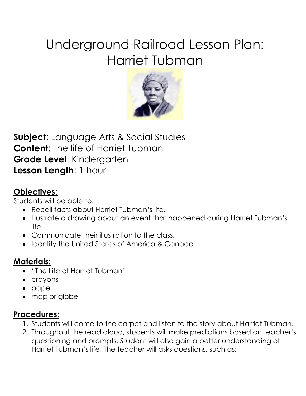# Underground Railroad Lesson Plan: Harriet Tubman



**Subject**: Language Arts & Social Studies **Content**: The life of Harriet Tubman **Grade Level**: Kindergarten **Lesson Length**: 1 hour

#### **Objectives:**

Students will be able to:

- Recall facts about Harriet Tubman's life.
- Illustrate a drawing about an event that happened during Harriet Tubman's life.
- Communicate their illustration to the class.
- Identify the United States of America & Canada

### **Materials:**

- "The Life of Harriet Tubman"
- crayons
- paper
- map or globe

# **Procedures:**

- 1. Students will come to the carpet and listen to the story about Harriet Tubman.
- 2. Throughout the read aloud, students will make predictions based on teacher's questioning and prompts. Student will also gain a better understanding of Harriet Tubman's life. The teacher will asks questions, such as: